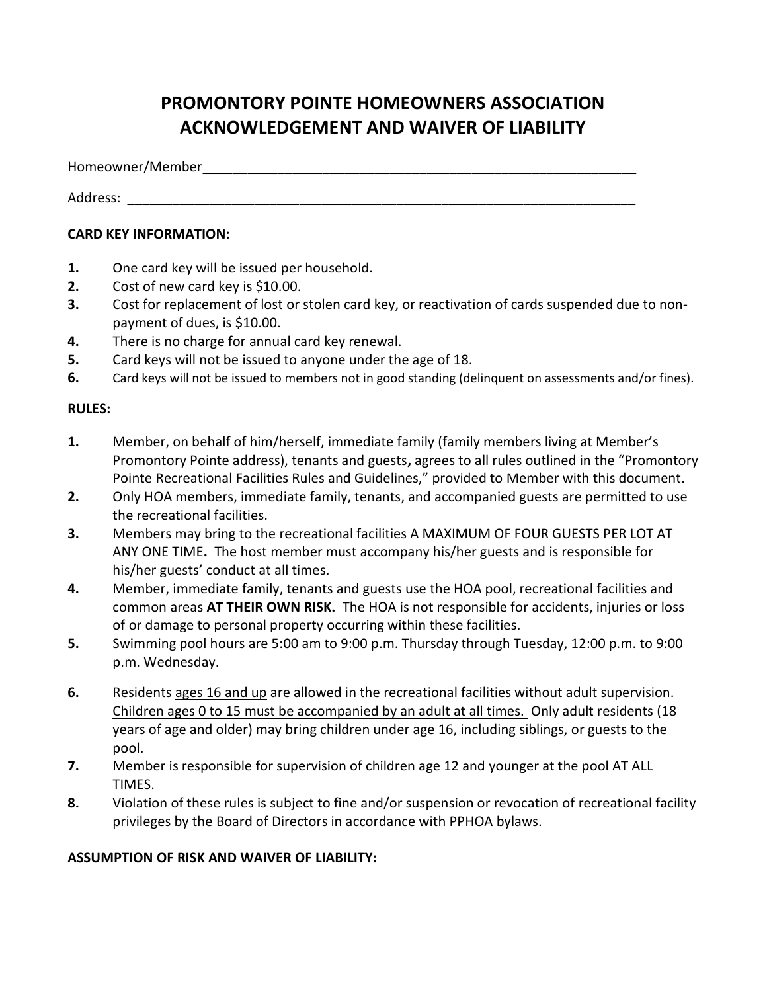## PROMONTORY POINTE HOMEOWNERS ASSOCIATION ACKNOWLEDGEMENT AND WAIVER OF LIABILITY

Homeowner/Member \_\_\_\_\_\_\_\_\_\_\_\_\_\_\_\_\_\_\_\_\_\_\_\_\_\_\_\_\_\_\_\_\_\_\_\_\_\_\_\_\_\_\_\_\_\_\_\_\_\_\_\_\_\_\_\_\_\_

Address: \_\_\_\_\_\_\_\_\_\_\_\_\_\_\_\_\_\_\_\_\_\_\_\_\_\_\_\_\_\_\_\_\_\_\_\_\_\_\_\_\_\_\_\_\_\_\_\_\_\_\_\_\_\_\_\_\_\_\_\_\_\_\_\_\_\_\_\_

## CARD KEY INFORMATION:

- 1. One card key will be issued per household.
- 2. Cost of new card key is \$10.00.
- 3. Cost for replacement of lost or stolen card key, or reactivation of cards suspended due to nonpayment of dues, is \$10.00.
- 4. There is no charge for annual card key renewal.
- 5. Card keys will not be issued to anyone under the age of 18.
- 6. Card keys will not be issued to members not in good standing (delinquent on assessments and/or fines).

## RULES:

- 1. Member, on behalf of him/herself, immediate family (family members living at Member's Promontory Pointe address), tenants and guests, agrees to all rules outlined in the "Promontory Pointe Recreational Facilities Rules and Guidelines," provided to Member with this document.
- 2. Only HOA members, immediate family, tenants, and accompanied guests are permitted to use the recreational facilities.
- 3. Members may bring to the recreational facilities A MAXIMUM OF FOUR GUESTS PER LOT AT ANY ONE TIME. The host member must accompany his/her guests and is responsible for his/her guests' conduct at all times.
- 4. Member, immediate family, tenants and guests use the HOA pool, recreational facilities and common areas AT THEIR OWN RISK. The HOA is not responsible for accidents, injuries or loss of or damage to personal property occurring within these facilities.
- 5. Swimming pool hours are 5:00 am to 9:00 p.m. Thursday through Tuesday, 12:00 p.m. to 9:00 p.m. Wednesday.
- 6. Residents ages 16 and up are allowed in the recreational facilities without adult supervision. Children ages 0 to 15 must be accompanied by an adult at all times. Only adult residents (18 years of age and older) may bring children under age 16, including siblings, or guests to the pool.
- 7. Member is responsible for supervision of children age 12 and younger at the pool AT ALL TIMES.
- 8. Violation of these rules is subject to fine and/or suspension or revocation of recreational facility privileges by the Board of Directors in accordance with PPHOA bylaws.

## ASSUMPTION OF RISK AND WAIVER OF LIABILITY: